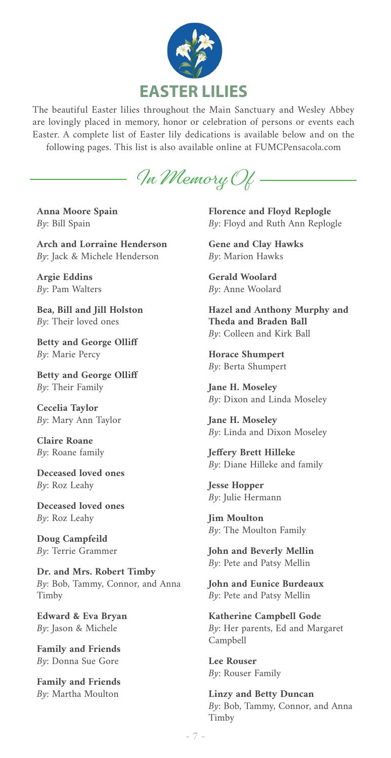

The beautiful Easter lilies throughout the Main Sanctuary and Wesley Abbey are lovingly placed in memory, honor or celebration of persons or events each Easter. A complete list of Easter lily dedications is available below and on the following pages. This list is also available online at FUMCPensacola.com

**In Memory Of**

**Anna Moore Spain** By: Bill Spain

**Arch and Lorraine Henderson** By: Jack & Michele Henderson

**Argie Eddins** By: Pam Walters

**Bea, Bill and Jill Holston** By: Their loved ones

**Betty and George Olliff** By: Marie Percy

**Betty and George Olliff** By: Their Family

**Cecelia Taylor** By: Mary Ann Taylor

**Claire Roane** By: Roane family

**Deceased loved ones** By: Roz Leahy

**Deceased loved ones** By: Roz Leahy

**Doug Campfeild** By: Terrie Grammer

**Dr. and Mrs. Robert Timby** By: Bob, Tammy, Connor, and Anna Timby

**Edward & Eva Bryan** By: Jason & Michele

**Family and Friends** By: Donna Sue Gore

**Family and Friends** By: Martha Moulton

**Florence and Floyd Replogle** By: Floyd and Ruth Ann Replogle

**Gene and Clay Hawks** By: Marion Hawks

**Gerald Woolard** By: Anne Woolard

**Hazel and Anthony Murphy and Theda and Braden Ball** By: Colleen and Kirk Ball

**Horace Shumpert** By: Berta Shumpert

**Jane H. Moseley** By: Dixon and Linda Moseley

**Jane H. Moseley** By: Linda and Dixon Moseley

**Jeffery Brett Hilleke** By: Diane Hilleke and family

**Jesse Hopper** By: Julie Hermann

**Jim Moulton** By: The Moulton Family

**John and Beverly Mellin** By: Pete and Patsy Mellin

**John and Eunice Burdeaux** By: Pete and Patsy Mellin

**Katherine Campbell Gode**  $By:$  Her parents, Ed and Margaret Campbell

**Lee Rouser** By: Rouser Family

**Linzy and Betty Duncan** By: Bob, Tammy, Connor, and Anna Timby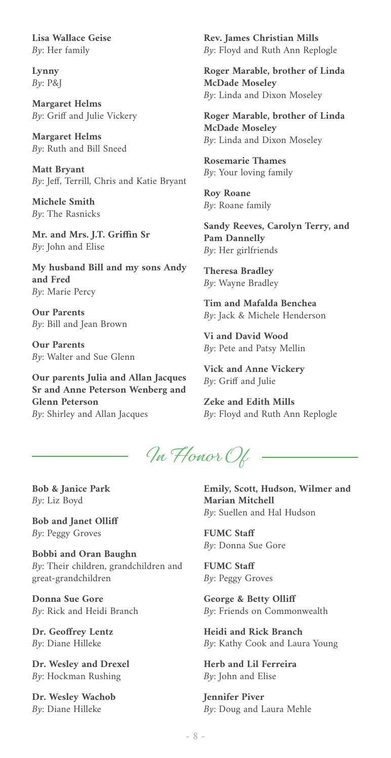**Lisa Wallace Geise** By: Her family

**Lynny** By: P&J

**Margaret Helms** By: Griff and Julie Vickery

**Margaret Helms** By: Ruth and Bill Sneed

**Matt Bryant** By: Jeff, Terrill, Chris and Katie Bryant

**Michele Smith** By: The Rasnicks

**Mr. and Mrs. J.T. Griffin Sr** By: John and Elise

**My husband Bill and my sons Andy and Fred** By: Marie Percy

**Our Parents** By: Bill and Jean Brown

**Our Parents** By: Walter and Sue Glenn

**Our parents Julia and Allan Jacques Sr and Anne Peterson Wenberg and Glenn Peterson** By: Shirley and Allan Jacques

**Rev. James Christian Mills** By: Floyd and Ruth Ann Replogle

**Roger Marable, brother of Linda McDade Moseley** By: Linda and Dixon Moseley

**Roger Marable, brother of Linda McDade Moseley** By: Linda and Dixon Moseley

**Rosemarie Thames** By: Your loving family

**Roy Roane** By: Roane family

**Sandy Reeves, Carolyn Terry, and Pam Dannelly** By: Her girlfriends

**Theresa Bradley** By: Wayne Bradley

**Tim and Mafalda Benchea** By: Jack & Michele Henderson

**Vi and David Wood** By: Pete and Patsy Mellin

**Vick and Anne Vickery**  $By:$  Griff and Julie

**Zeke and Edith Mills** By: Floyd and Ruth Ann Replogle

**In Honor Of**

**Bob & Janice Park** By: Liz Boyd

**Bob and Janet Olliff** By: Peggy Groves

**Bobbi and Oran Baughn** By: Their children, grandchildren and great-grandchildren

**Donna Sue Gore** By: Rick and Heidi Branch

**Dr. Geoffrey Lentz** By: Diane Hilleke

**Dr. Wesley and Drexel** By: Hockman Rushing

**Dr. Wesley Wachob** By: Diane Hilleke

**Emily, Scott, Hudson, Wilmer and Marian Mitchell** By: Suellen and Hal Hudson

**FUMC Staff** By: Donna Sue Gore

**FUMC Staff** By: Peggy Groves

**George & Betty Olliff** By: Friends on Commonwealth

**Heidi and Rick Branch** By: Kathy Cook and Laura Young

**Herb and Lil Ferreira** By: John and Elise

**Jennifer Piver** By: Doug and Laura Mehle